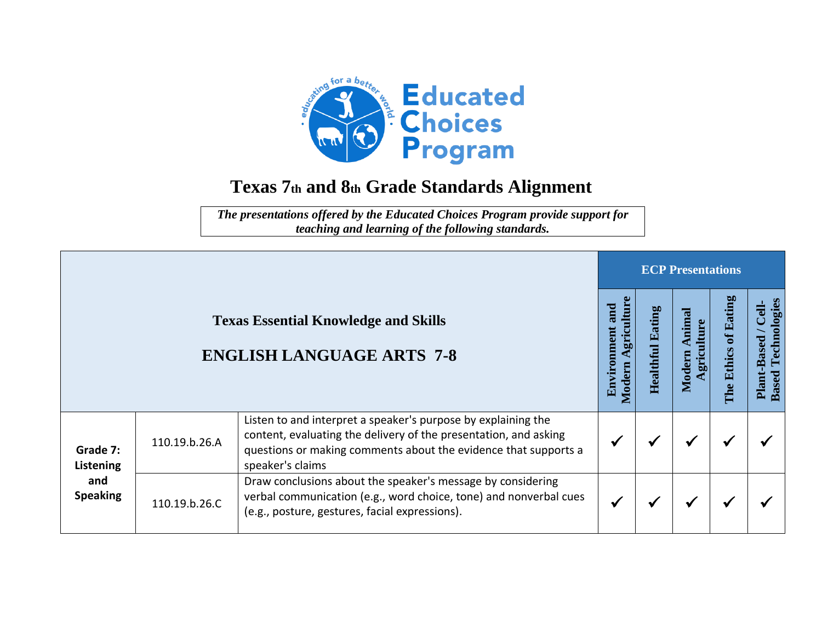

## **Texas 7th and 8th Grade Standards Alignment**

*The presentations offered by the Educated Choices Program provide support for teaching and learning of the following standards.*

|                                                                                 |               | <b>ECP Presentations</b>                                                                                                                                                                                                 |                        |                     |                         |                                                                     |  |  |
|---------------------------------------------------------------------------------|---------------|--------------------------------------------------------------------------------------------------------------------------------------------------------------------------------------------------------------------------|------------------------|---------------------|-------------------------|---------------------------------------------------------------------|--|--|
| <b>Texas Essential Knowledge and Skills</b><br><b>ENGLISH LANGUAGE ARTS 7-8</b> |               | gricultur<br>and<br>Environment<br><b>Aodern</b>                                                                                                                                                                         | atin<br>덕<br>Healthful | mim<br>gric<br>Mode | of Eating<br>The Ethics | Technologies<br>$\frac{1}{2}$<br><b>Plant-Based</b><br><b>Based</b> |  |  |
| Grade 7:<br>Listening<br>and<br><b>Speaking</b>                                 | 110.19.b.26.A | Listen to and interpret a speaker's purpose by explaining the<br>content, evaluating the delivery of the presentation, and asking<br>questions or making comments about the evidence that supports a<br>speaker's claims |                        |                     | ✔                       |                                                                     |  |  |
|                                                                                 | 110.19.b.26.C | Draw conclusions about the speaker's message by considering<br>verbal communication (e.g., word choice, tone) and nonverbal cues<br>(e.g., posture, gestures, facial expressions).                                       |                        |                     | ✔                       |                                                                     |  |  |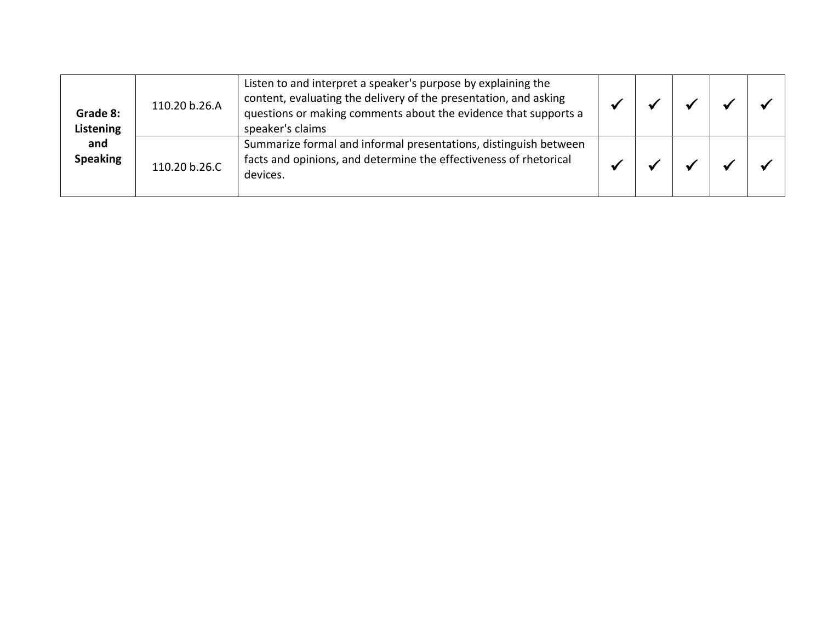| Grade 8:<br>Listening<br>and<br><b>Speaking</b> | 110.20 b.26.A | Listen to and interpret a speaker's purpose by explaining the<br>content, evaluating the delivery of the presentation, and asking<br>questions or making comments about the evidence that supports a<br>speaker's claims |  |  |  |
|-------------------------------------------------|---------------|--------------------------------------------------------------------------------------------------------------------------------------------------------------------------------------------------------------------------|--|--|--|
|                                                 | 110.20 b.26.C | Summarize formal and informal presentations, distinguish between<br>facts and opinions, and determine the effectiveness of rhetorical<br>devices.                                                                        |  |  |  |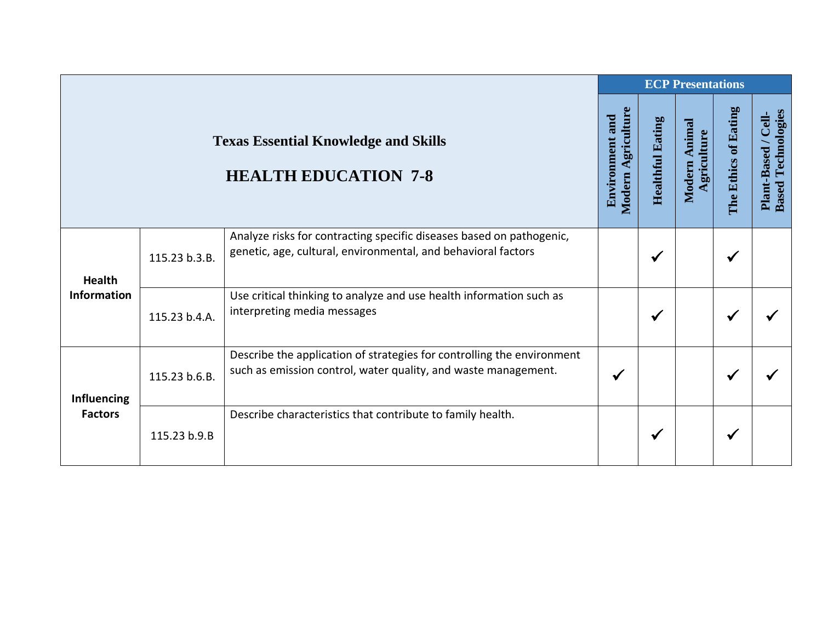|                                                                            |               |                                                                                                                                          | <b>ECP Presentations</b> |                         |                                 |                      |                                                    |  |  |
|----------------------------------------------------------------------------|---------------|------------------------------------------------------------------------------------------------------------------------------------------|--------------------------|-------------------------|---------------------------------|----------------------|----------------------------------------------------|--|--|
| <b>Texas Essential Knowledge and Skills</b><br><b>HEALTH EDUCATION 7-8</b> |               |                                                                                                                                          |                          | <b>Healthful Eating</b> | Animal<br>Agriculture<br>Modern | The Ethics of Eating | Technologies<br>Plant-Based / Cell<br><b>Based</b> |  |  |
| <b>Health</b><br><b>Information</b>                                        | 115.23 b.3.B. | Analyze risks for contracting specific diseases based on pathogenic,<br>genetic, age, cultural, environmental, and behavioral factors    |                          | √                       |                                 |                      |                                                    |  |  |
|                                                                            | 115.23 b.4.A. | Use critical thinking to analyze and use health information such as<br>interpreting media messages                                       |                          | ✔                       |                                 | ✔                    |                                                    |  |  |
| <b>Influencing</b><br><b>Factors</b>                                       | 115.23 b.6.B. | Describe the application of strategies for controlling the environment<br>such as emission control, water quality, and waste management. | $\checkmark$             |                         |                                 | ✔                    |                                                    |  |  |
|                                                                            | 115.23 b.9.B  | Describe characteristics that contribute to family health.                                                                               |                          | ✔                       |                                 |                      |                                                    |  |  |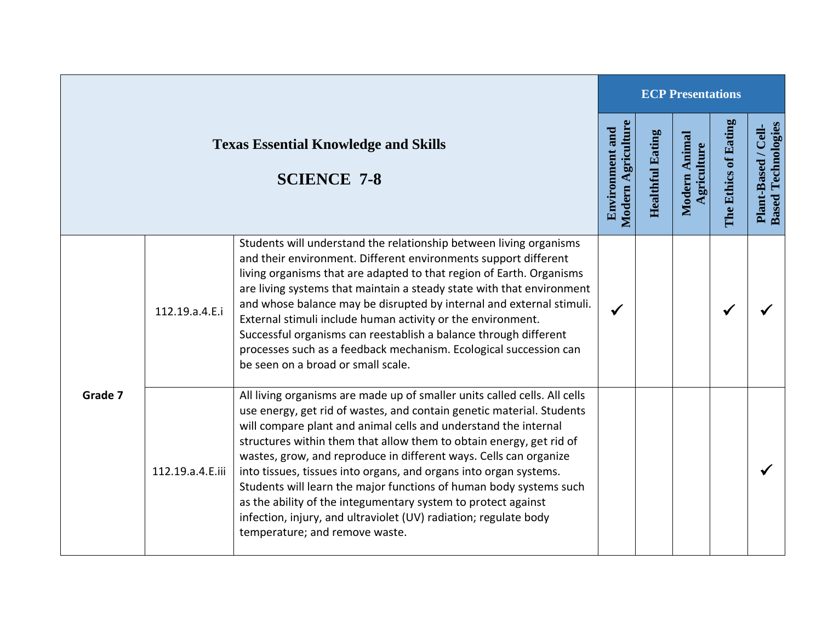|                                                                   |                  | <b>ECP Presentations</b>                                                                                                                                                                                                                                                                                                                                                                                                                                                                                                                                                                                                                                                            |                                                     |                         |                              |                      |                                                  |  |
|-------------------------------------------------------------------|------------------|-------------------------------------------------------------------------------------------------------------------------------------------------------------------------------------------------------------------------------------------------------------------------------------------------------------------------------------------------------------------------------------------------------------------------------------------------------------------------------------------------------------------------------------------------------------------------------------------------------------------------------------------------------------------------------------|-----------------------------------------------------|-------------------------|------------------------------|----------------------|--------------------------------------------------|--|
| <b>Texas Essential Knowledge and Skills</b><br><b>SCIENCE 7-8</b> |                  |                                                                                                                                                                                                                                                                                                                                                                                                                                                                                                                                                                                                                                                                                     | <b>Modern Agriculture</b><br><b>Environment and</b> | <b>Healthful Eating</b> | Modern Animal<br>Agriculture | The Ethics of Eating | <b>Based Technologies</b><br>Plant-Based / Cell- |  |
|                                                                   | 112.19.a.4.E.i   | Students will understand the relationship between living organisms<br>and their environment. Different environments support different<br>living organisms that are adapted to that region of Earth. Organisms<br>are living systems that maintain a steady state with that environment<br>and whose balance may be disrupted by internal and external stimuli.<br>External stimuli include human activity or the environment.<br>Successful organisms can reestablish a balance through different<br>processes such as a feedback mechanism. Ecological succession can<br>be seen on a broad or small scale.                                                                        |                                                     |                         |                              |                      |                                                  |  |
| Grade 7                                                           | 112.19.a.4.E.iii | All living organisms are made up of smaller units called cells. All cells<br>use energy, get rid of wastes, and contain genetic material. Students<br>will compare plant and animal cells and understand the internal<br>structures within them that allow them to obtain energy, get rid of<br>wastes, grow, and reproduce in different ways. Cells can organize<br>into tissues, tissues into organs, and organs into organ systems.<br>Students will learn the major functions of human body systems such<br>as the ability of the integumentary system to protect against<br>infection, injury, and ultraviolet (UV) radiation; regulate body<br>temperature; and remove waste. |                                                     |                         |                              |                      |                                                  |  |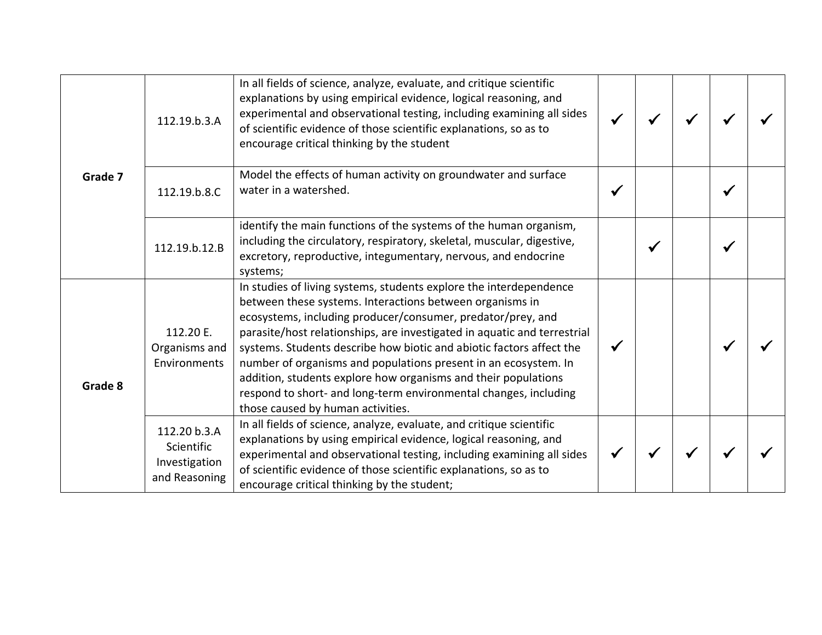| Grade 7 | 112.19.b.3.A                                                 | In all fields of science, analyze, evaluate, and critique scientific<br>explanations by using empirical evidence, logical reasoning, and<br>experimental and observational testing, including examining all sides<br>of scientific evidence of those scientific explanations, so as to<br>encourage critical thinking by the student                                                                                                                                                                                                                                                            |  |  |  |
|---------|--------------------------------------------------------------|-------------------------------------------------------------------------------------------------------------------------------------------------------------------------------------------------------------------------------------------------------------------------------------------------------------------------------------------------------------------------------------------------------------------------------------------------------------------------------------------------------------------------------------------------------------------------------------------------|--|--|--|
|         | 112.19.b.8.C                                                 | Model the effects of human activity on groundwater and surface<br>water in a watershed.                                                                                                                                                                                                                                                                                                                                                                                                                                                                                                         |  |  |  |
|         | 112.19.b.12.B                                                | identify the main functions of the systems of the human organism,<br>including the circulatory, respiratory, skeletal, muscular, digestive,<br>excretory, reproductive, integumentary, nervous, and endocrine<br>systems;                                                                                                                                                                                                                                                                                                                                                                       |  |  |  |
| Grade 8 | 112.20 E.<br>Organisms and<br>Environments                   | In studies of living systems, students explore the interdependence<br>between these systems. Interactions between organisms in<br>ecosystems, including producer/consumer, predator/prey, and<br>parasite/host relationships, are investigated in aquatic and terrestrial<br>systems. Students describe how biotic and abiotic factors affect the<br>number of organisms and populations present in an ecosystem. In<br>addition, students explore how organisms and their populations<br>respond to short- and long-term environmental changes, including<br>those caused by human activities. |  |  |  |
|         | 112.20 b.3.A<br>Scientific<br>Investigation<br>and Reasoning | In all fields of science, analyze, evaluate, and critique scientific<br>explanations by using empirical evidence, logical reasoning, and<br>experimental and observational testing, including examining all sides<br>of scientific evidence of those scientific explanations, so as to<br>encourage critical thinking by the student;                                                                                                                                                                                                                                                           |  |  |  |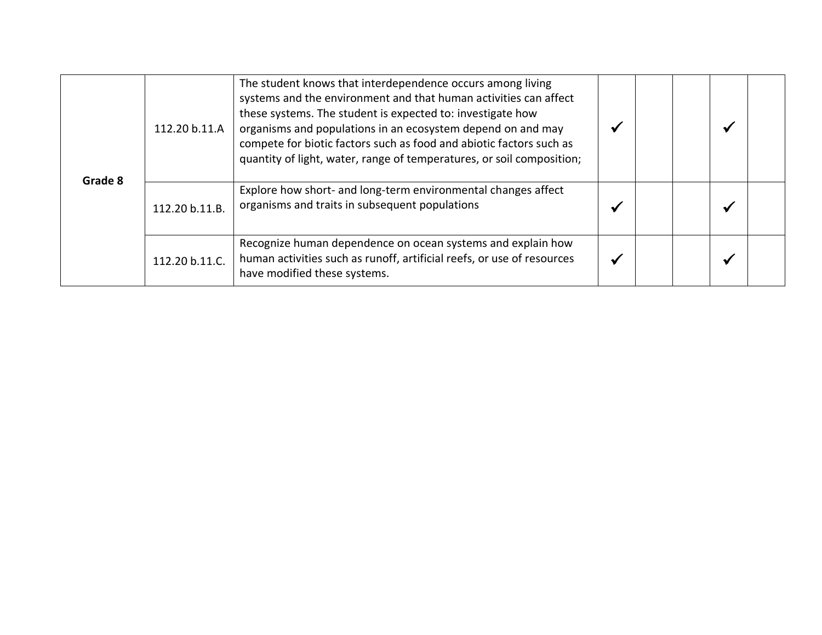| Grade 8 | 112.20 b.11.A  | The student knows that interdependence occurs among living<br>systems and the environment and that human activities can affect<br>these systems. The student is expected to: investigate how<br>organisms and populations in an ecosystem depend on and may<br>compete for biotic factors such as food and abiotic factors such as<br>quantity of light, water, range of temperatures, or soil composition; |  |  |
|---------|----------------|-------------------------------------------------------------------------------------------------------------------------------------------------------------------------------------------------------------------------------------------------------------------------------------------------------------------------------------------------------------------------------------------------------------|--|--|
|         | 112.20 b.11.B. | Explore how short- and long-term environmental changes affect<br>organisms and traits in subsequent populations                                                                                                                                                                                                                                                                                             |  |  |
|         | 112.20 b.11.C. | Recognize human dependence on ocean systems and explain how<br>human activities such as runoff, artificial reefs, or use of resources<br>have modified these systems.                                                                                                                                                                                                                                       |  |  |